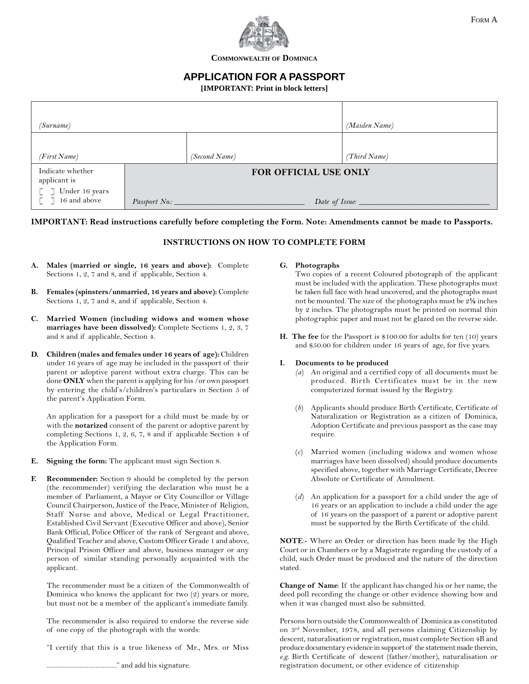

**COMMONWEALTH OF DOMINICA**

# **APPLICATION FOR A PASSPORT**

**[IMPORTANT: Print in block letters]**

| (Surname)                                                               |               |                       |                  | (Maiden Name) |
|-------------------------------------------------------------------------|---------------|-----------------------|------------------|---------------|
|                                                                         |               |                       |                  |               |
| (First Name)                                                            |               | (Second Name)         |                  | (Third Name)  |
| Indicate whether<br>applicant is<br>$\lbrack $ $\lbrack$ Under 16 years |               | FOR OFFICIAL USE ONLY |                  |               |
| $\lceil 7 \rceil 16$ and above                                          | Passport No.: |                       | Date of Issue: _ |               |

### **IMPORTANT: Read instructions carefully before completing the Form. Note: Amendments cannot be made to Passports.**

## **INSTRUCTIONS ON HOW TO COMPLETE FORM**

- **A. Males (married or single, 16 years and above):** Complete Sections 1, 2, 7 and 8, and if applicable, Section 4.
- **B. Females (spinsters/unmarried, 16 years and above):** Complete Sections 1, 2, 7 and 8, and if applicable, Section 4.
- **C. Married Women (including widows and women whose marriages have been dissolved):** Complete Sections 1, 2, 3, 7 and 8 and if applicable, Section 4.
- **D. Children (males and females under 16 years of age):** Children under 16 years of age may be included in the passport of their parent or adoptive parent without extra charge. This can be done **ONLY** when the parent is applying for his /or own passport by entering the child's/children's particulars in Section 5 of the parent's Application Form.

An application for a passport for a child must be made by or with the **notarized** consent of the parent or adoptive parent by completing Sections 1, 2, 6, 7, 8 and if applicable Section 4 of the Application Form.

- **E. Signing the form:** The applicant must sign Section 8.
- **F. Recommender:** Section 9 should be completed by the person (the recommender) verifying the declaration who must be a member of Parliament, a Mayor or City Councillor or Village Council Chairperson, Justice of the Peace, Minister of Religion, Staff Nurse and above, Medical or Legal Practitioner, Established Civil Servant (Executive Officer and above), Senior Bank Official, Police Officer of the rank of Sergeant and above, Qualified Teacher and above, Custom Officer Grade 1 and above, Principal Prison Officer and above, business manager or any person of similar standing personally acquainted with the applicant.

The recommender must be a citizen of the Commonwealth of Dominica who knows the applicant for two (2) years or more, but must not be a member of the applicant's immediate family.

The recommender is also required to endorse the reverse side of one copy of the photograph with the words:

"I certify that this is a true likeness of Mr., Mrs. or Miss

#### **G. Photographs**

Two copies of a recent Coloured photograph of the applicant must be included with the application. These photographs must be taken full face with head uncovered, and the photographs must not be mounted. The size of the photographs must be 2**½** inches by 2 inches. The photographs must be printed on normal thin photographic paper and must not be glazed on the reverse side.

**H. The fee** for the Passport is \$100.00 for adults for ten (10) years and \$50.00 for children under 16 years of age, for five years.

### **I. Documents to be produced**

- *(a*) An original and a certified copy of all documents must be produced. Birth Certificates must be in the new computerized format issued by the Registry.
- (*b*) Applicants should produce Birth Certificate, Certificate of Naturalization or Registration as a citizen of Dominica, Adoption Certificate and previous passport as the case may require.
- (*c*) Married women (including widows and women whose marriages have been dissolved) should produce documents specified above, together with Marriage Certificate, Decree Absolute or Certificate of Annulment.
- (*d*) An application for a passport for a child under the age of 16 years or an application to include a child under the age of 16 years on the passport of a parent or adoptive parent must be supported by the Birth Certificate of the child.

**NOTE**:- Where an Order or direction has been made by the High Court or in Chambers or by a Magistrate regarding the custody of a child, such Order must be produced and the nature of the direction stated.

**Change of Name**: If the applicant has changed his or her name, the deed poll recording the change or other evidence showing how and when it was changed must also be submitted.

Persons born outside the Commonwealth of Dominica as constituted on 3rd November, 1978, and all persons claiming Citizenship by descent, naturalisation or registration, must complete Section 4B and produce documentary evidence in support of the statement made therein, *e.g.* Birth Certificate of descent (father/mother), naturalisation or registration document, or other evidence of citizenship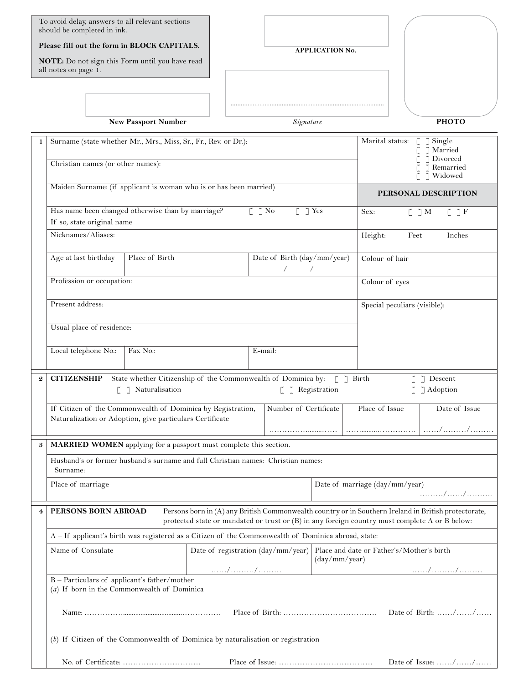To avoid delay, answers to all relevant sections should be completed in ink.

**Please fill out the form in BLOCK CAPITALS.**

**NOTE:** Do not sign this Form until you have read all notes on page 1.

**APPLICATION NO.**

*..........................................................................................*

|          |                                                                                                                                                                                                                               | <b>New Passport Number</b>                                                                                                                       |  | Signature                   |                                           |                                                    | <b>PHOTO</b>                                        |  |
|----------|-------------------------------------------------------------------------------------------------------------------------------------------------------------------------------------------------------------------------------|--------------------------------------------------------------------------------------------------------------------------------------------------|--|-----------------------------|-------------------------------------------|----------------------------------------------------|-----------------------------------------------------|--|
| 1        | Surname (state whether Mr., Mrs., Miss, Sr., Fr., Rev. or Dr.):<br>Christian names (or other names):                                                                                                                          |                                                                                                                                                  |  |                             |                                           | Marital status:                                    | $\lceil$ Single<br>Married<br>Divorced<br>Remarried |  |
|          | Maiden Surname: (if applicant is woman who is or has been married)                                                                                                                                                            |                                                                                                                                                  |  |                             | Widowed<br>PERSONAL DESCRIPTION           |                                                    |                                                     |  |
|          | Has name been changed otherwise than by marriage?<br>$\lceil$ $\rceil$ No<br>$\lceil$ $\lceil$ Yes<br>If so, state original name                                                                                              |                                                                                                                                                  |  |                             | Sex:                                      | $\lbrack \quad \rbrack$ $\lbrack$ M<br>$[$ $]$ $F$ |                                                     |  |
|          | Nicknames/Aliases:                                                                                                                                                                                                            |                                                                                                                                                  |  |                             |                                           | Height:<br>Feet                                    | Inches                                              |  |
|          | Age at last birthday                                                                                                                                                                                                          | Place of Birth                                                                                                                                   |  | Date of Birth (day/mm/year) | $\sqrt{2}$                                | Colour of hair                                     |                                                     |  |
|          | Profession or occupation:                                                                                                                                                                                                     |                                                                                                                                                  |  |                             | Colour of eyes                            |                                                    |                                                     |  |
|          | Present address:                                                                                                                                                                                                              |                                                                                                                                                  |  |                             | Special peculiars (visible):              |                                                    |                                                     |  |
|          |                                                                                                                                                                                                                               | Usual place of residence:                                                                                                                        |  |                             |                                           |                                                    |                                                     |  |
|          | Local telephone No.:                                                                                                                                                                                                          | Fax No.:                                                                                                                                         |  | E-mail:                     |                                           |                                                    |                                                     |  |
| $\bf{2}$ |                                                                                                                                                                                                                               |                                                                                                                                                  |  |                             |                                           |                                                    | $\lceil$ $\rceil$ Descent                           |  |
|          | <b>CITIZENSHIP</b> State whether Citizenship of the Commonwealth of Dominica by: [ ] Birth<br>$\lbrack$ ] Registration<br>[ ] Naturalisation<br>$\lbrack \quad \rbrack$ Adoption                                              |                                                                                                                                                  |  |                             |                                           |                                                    |                                                     |  |
|          |                                                                                                                                                                                                                               | If Citizen of the Commonwealth of Dominica by Registration,<br>Number of Certificate<br>Naturalization or Adoption, give particulars Certificate |  |                             | Place of Issue                            | Date of Issue                                      |                                                     |  |
| 3        |                                                                                                                                                                                                                               |                                                                                                                                                  |  |                             |                                           |                                                    |                                                     |  |
|          | MARRIED WOMEN applying for a passport must complete this section.<br>Husband's or former husband's surname and full Christian names: Christian names:<br>Surname:                                                             |                                                                                                                                                  |  |                             |                                           |                                                    |                                                     |  |
|          | Place of marriage                                                                                                                                                                                                             |                                                                                                                                                  |  |                             |                                           | Date of marriage (day/mm/year)<br>. / /            |                                                     |  |
| 4        | PERSONS BORN ABROAD<br>Persons born in (A) any British Commonwealth country or in Southern Ireland in British protectorate,<br>protected state or mandated or trust or (B) in any foreign country must complete A or B below: |                                                                                                                                                  |  |                             |                                           |                                                    |                                                     |  |
|          | A – If applicant's birth was registered as a Citizen of the Commonwealth of Dominica abroad, state:                                                                                                                           |                                                                                                                                                  |  |                             |                                           |                                                    |                                                     |  |
|          | Name of Consulate<br>Date of registration (day/mm/year)<br>(day/mm/year)                                                                                                                                                      |                                                                                                                                                  |  |                             | Place and date or Father's/Mother's birth |                                                    |                                                     |  |
|          | B - Particulars of applicant's father/mother<br>$(a)$ If born in the Commonwealth of Dominica                                                                                                                                 |                                                                                                                                                  |  |                             | . / /                                     |                                                    |                                                     |  |
|          |                                                                                                                                                                                                                               | Date of Birth: //                                                                                                                                |  |                             |                                           |                                                    |                                                     |  |
|          | $(b)$ If Citizen of the Commonwealth of Dominica by naturalisation or registration                                                                                                                                            |                                                                                                                                                  |  |                             |                                           |                                                    |                                                     |  |
|          |                                                                                                                                                                                                                               |                                                                                                                                                  |  |                             |                                           |                                                    | Date of Issue: $\ldots \ldots \ldots \ldots \ldots$ |  |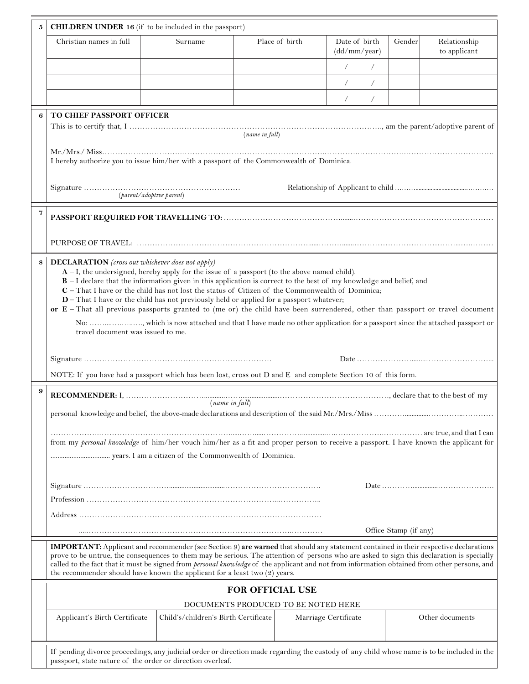| 5 | <b>CHILDREN UNDER 16</b> (if to be included in the passport)                                                                                                                                                                                                                                                                                                                                                                                                                                                                                                                                                                                                                                                                                                                      |                                      |                                     |                      |                               |        |                              |
|---|-----------------------------------------------------------------------------------------------------------------------------------------------------------------------------------------------------------------------------------------------------------------------------------------------------------------------------------------------------------------------------------------------------------------------------------------------------------------------------------------------------------------------------------------------------------------------------------------------------------------------------------------------------------------------------------------------------------------------------------------------------------------------------------|--------------------------------------|-------------------------------------|----------------------|-------------------------------|--------|------------------------------|
|   | Christian names in full                                                                                                                                                                                                                                                                                                                                                                                                                                                                                                                                                                                                                                                                                                                                                           | Surname                              |                                     | Place of birth       | Date of birth<br>(dd/mm/year) | Gender | Relationship<br>to applicant |
|   |                                                                                                                                                                                                                                                                                                                                                                                                                                                                                                                                                                                                                                                                                                                                                                                   |                                      |                                     |                      | $\sqrt{2}$<br>$\sqrt{2}$      |        |                              |
|   |                                                                                                                                                                                                                                                                                                                                                                                                                                                                                                                                                                                                                                                                                                                                                                                   |                                      |                                     |                      | $\sqrt{2}$<br>$\sqrt{2}$      |        |                              |
|   |                                                                                                                                                                                                                                                                                                                                                                                                                                                                                                                                                                                                                                                                                                                                                                                   |                                      |                                     |                      | $\sqrt{2}$<br>$\sqrt{2}$      |        |                              |
| 6 | TO CHIEF PASSPORT OFFICER                                                                                                                                                                                                                                                                                                                                                                                                                                                                                                                                                                                                                                                                                                                                                         |                                      |                                     |                      |                               |        |                              |
|   |                                                                                                                                                                                                                                                                                                                                                                                                                                                                                                                                                                                                                                                                                                                                                                                   |                                      | (name in full)                      |                      |                               |        |                              |
|   | I hereby authorize you to issue him/her with a passport of the Commonwealth of Dominica.                                                                                                                                                                                                                                                                                                                                                                                                                                                                                                                                                                                                                                                                                          |                                      |                                     |                      |                               |        |                              |
|   | (parent/adoptive parent)                                                                                                                                                                                                                                                                                                                                                                                                                                                                                                                                                                                                                                                                                                                                                          |                                      |                                     |                      |                               |        |                              |
| 7 |                                                                                                                                                                                                                                                                                                                                                                                                                                                                                                                                                                                                                                                                                                                                                                                   |                                      |                                     |                      |                               |        |                              |
|   |                                                                                                                                                                                                                                                                                                                                                                                                                                                                                                                                                                                                                                                                                                                                                                                   |                                      |                                     |                      |                               |        |                              |
| 8 | <b>DECLARATION</b> (cross out whichever does not apply)<br>$A - I$ , the undersigned, hereby apply for the issue of a passport (to the above named child).<br><b>B</b> – I declare that the information given in this application is correct to the best of my knowledge and belief, and<br>C - That I have or the child has not lost the status of Citizen of the Commonwealth of Dominica;<br>D-That I have or the child has not previously held or applied for a passport whatever;<br>or E-That all previous passports granted to (me or) the child have been surrendered, other than passport or travel document<br>No: , which is now attached and that I have made no other application for a passport since the attached passport or<br>travel document was issued to me. |                                      |                                     |                      |                               |        |                              |
|   |                                                                                                                                                                                                                                                                                                                                                                                                                                                                                                                                                                                                                                                                                                                                                                                   |                                      |                                     |                      |                               |        |                              |
|   | NOTE: If you have had a passport which has been lost, cross out D and E and complete Section 10 of this form.                                                                                                                                                                                                                                                                                                                                                                                                                                                                                                                                                                                                                                                                     |                                      |                                     |                      |                               |        |                              |
| 9 | (name in full)                                                                                                                                                                                                                                                                                                                                                                                                                                                                                                                                                                                                                                                                                                                                                                    |                                      |                                     |                      |                               |        |                              |
|   | from my personal knowledge of him/her vouch him/her as a fit and proper person to receive a passport. I have known the applicant for                                                                                                                                                                                                                                                                                                                                                                                                                                                                                                                                                                                                                                              |                                      |                                     |                      |                               |        |                              |
|   |                                                                                                                                                                                                                                                                                                                                                                                                                                                                                                                                                                                                                                                                                                                                                                                   |                                      |                                     |                      |                               |        |                              |
|   |                                                                                                                                                                                                                                                                                                                                                                                                                                                                                                                                                                                                                                                                                                                                                                                   |                                      |                                     |                      |                               |        |                              |
|   |                                                                                                                                                                                                                                                                                                                                                                                                                                                                                                                                                                                                                                                                                                                                                                                   |                                      |                                     |                      |                               |        |                              |
|   | Office Stamp (if any)                                                                                                                                                                                                                                                                                                                                                                                                                                                                                                                                                                                                                                                                                                                                                             |                                      |                                     |                      |                               |        |                              |
|   | <b>IMPORTANT:</b> Applicant and recommender (see Section 9) are warned that should any statement contained in their respective declarations<br>prove to be untrue, the consequences to them may be serious. The attention of persons who are asked to sign this declaration is specially<br>called to the fact that it must be signed from <i>personal knowledge</i> of the applicant and not from information obtained from other persons, and<br>the recommender should have known the applicant for a least two $(2)$ years.                                                                                                                                                                                                                                                   |                                      |                                     |                      |                               |        |                              |
|   | <b>FOR OFFICIAL USE</b>                                                                                                                                                                                                                                                                                                                                                                                                                                                                                                                                                                                                                                                                                                                                                           |                                      |                                     |                      |                               |        |                              |
|   |                                                                                                                                                                                                                                                                                                                                                                                                                                                                                                                                                                                                                                                                                                                                                                                   |                                      | DOCUMENTS PRODUCED TO BE NOTED HERE |                      |                               |        |                              |
|   | Applicant's Birth Certificate                                                                                                                                                                                                                                                                                                                                                                                                                                                                                                                                                                                                                                                                                                                                                     | Child's/children's Birth Certificate |                                     | Marriage Certificate |                               |        | Other documents              |
|   | If pending divorce proceedings, any judicial order or direction made regarding the custody of any child whose name is to be included in the<br>passport, state nature of the order or direction overleaf.                                                                                                                                                                                                                                                                                                                                                                                                                                                                                                                                                                         |                                      |                                     |                      |                               |        |                              |